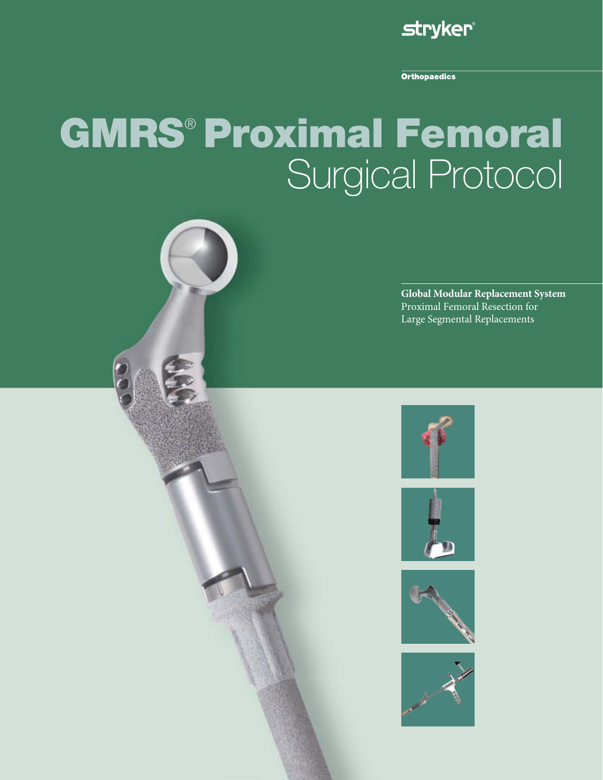

**Orthopaedics** 

# GMRS® Proximal Femoral Surgical Protocol









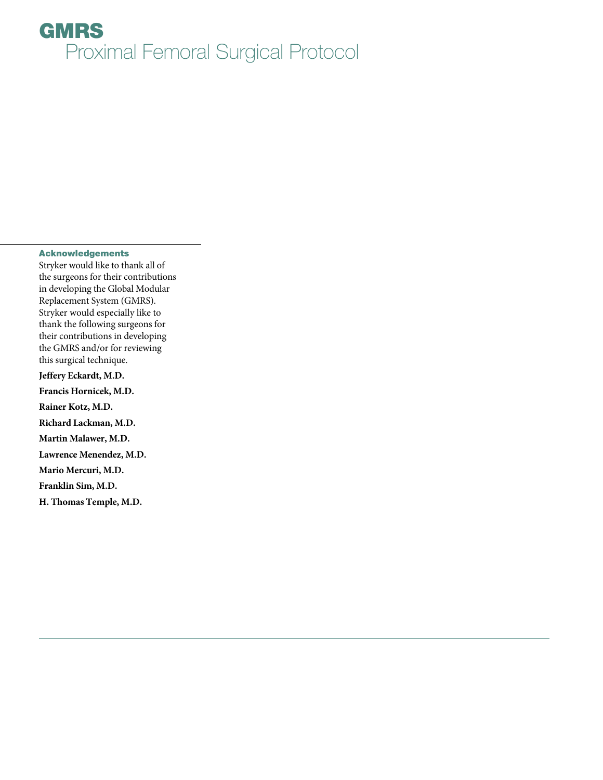### Acknowledgements

Stryker would like to thank all of the surgeons for their contributions in developing the Global Modular Replacement System (GMRS). Stryker would especially like to thank the following surgeons for their contributions in developing the GMRS and/or for reviewing this surgical technique.

**Jeffery Eckardt, M.D.**

**Francis Hornicek, M.D. Rainer Kotz, M.D. Richard Lackman, M.D. Martin Malawer, M.D. Lawrence Menendez, M.D. Mario Mercuri, M.D. Franklin Sim, M.D. H. Thomas Temple, M.D.**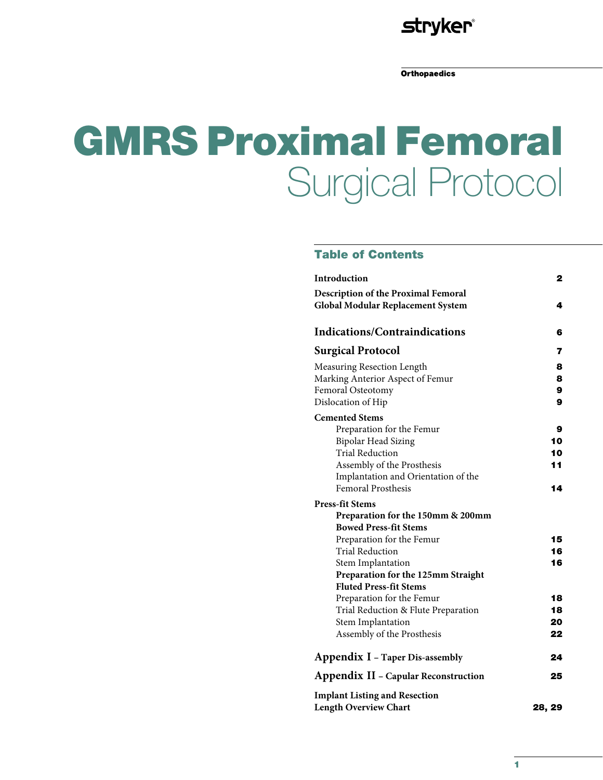# **stryker®**

**Orthopaedics** 

# GMRS Proximal Femoral Surgical Protocol

# Table of Contents

| Introduction                                | 2      |
|---------------------------------------------|--------|
| <b>Description of the Proximal Femoral</b>  |        |
| <b>Global Modular Replacement System</b>    | 4      |
| <b>Indications/Contraindications</b>        | 6      |
| <b>Surgical Protocol</b>                    | 7      |
| Measuring Resection Length                  | 8      |
| Marking Anterior Aspect of Femur            | 8      |
| Femoral Osteotomy                           | 9      |
| Dislocation of Hip                          | 9      |
| <b>Cemented Stems</b>                       |        |
| Preparation for the Femur                   | 9      |
| <b>Bipolar Head Sizing</b>                  | 10     |
| <b>Trial Reduction</b>                      | 10     |
| Assembly of the Prosthesis                  | 11     |
| Implantation and Orientation of the         |        |
| <b>Femoral Prosthesis</b>                   | 14     |
| <b>Press-fit Stems</b>                      |        |
| Preparation for the 150mm & 200mm           |        |
| <b>Bowed Press-fit Stems</b>                |        |
| Preparation for the Femur                   | 15     |
| <b>Trial Reduction</b>                      | 16     |
| Stem Implantation                           | 16     |
| Preparation for the 125mm Straight          |        |
| <b>Fluted Press-fit Stems</b>               |        |
| Preparation for the Femur                   | 18     |
| Trial Reduction & Flute Preparation         | 18     |
| Stem Implantation                           | 20     |
| Assembly of the Prosthesis                  | 22     |
| Appendix I - Taper Dis-assembly             | 24     |
| <b>Appendix II - Capular Reconstruction</b> | 25     |
| <b>Implant Listing and Resection</b>        |        |
| <b>Length Overview Chart</b>                | 28, 29 |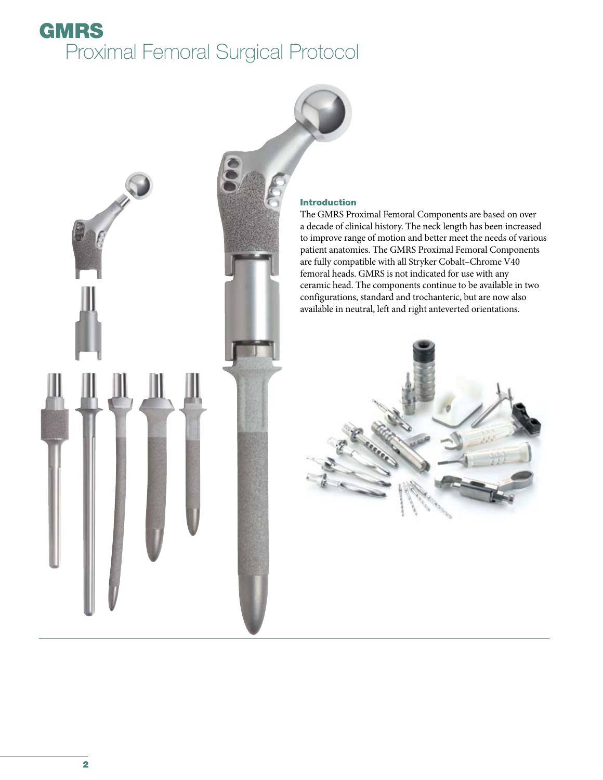

### Introduction

The GMRS Proximal Femoral Components are based on over a decade of clinical history. The neck length has been increased to improve range of motion and better meet the needs of various patient anatomies. The GMRS Proximal Femoral Components are fully compatible with all Stryker Cobalt–Chrome V40 femoral heads. GMRS is not indicated for use with any ceramic head. The components continue to be available in two configurations, standard and trochanteric, but are now also available in neutral, left and right anteverted orientations.

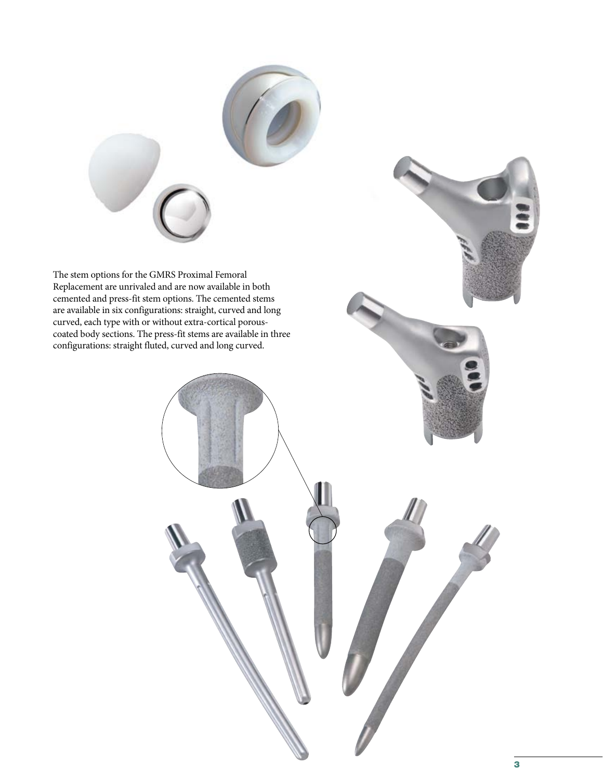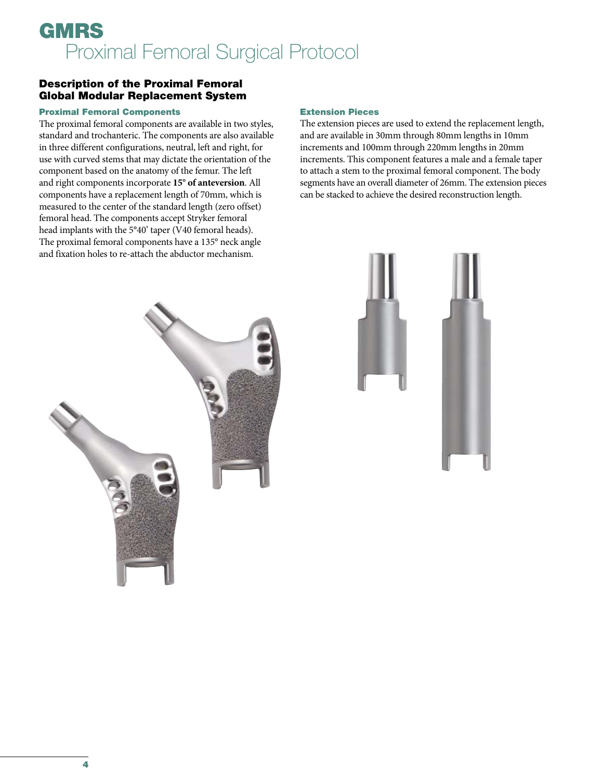# Description of the Proximal Femoral Global Modular Replacement System

### Proximal Femoral Components

The proximal femoral components are available in two styles, standard and trochanteric. The components are also available in three different configurations, neutral, left and right, for use with curved stems that may dictate the orientation of the component based on the anatomy of the femur. The left and right components incorporate **15° of anteversion**. All components have a replacement length of 70mm, which is measured to the center of the standard length (zero offset) femoral head. The components accept Stryker femoral head implants with the 5°40' taper (V40 femoral heads). The proximal femoral components have a 135° neck angle and fixation holes to re-attach the abductor mechanism.

### Extension Pieces

The extension pieces are used to extend the replacement length, and are available in 30mm through 80mm lengths in 10mm increments and 100mm through 220mm lengths in 20mm increments. This component features a male and a female taper to attach a stem to the proximal femoral component. The body segments have an overall diameter of 26mm. The extension pieces can be stacked to achieve the desired reconstruction length.



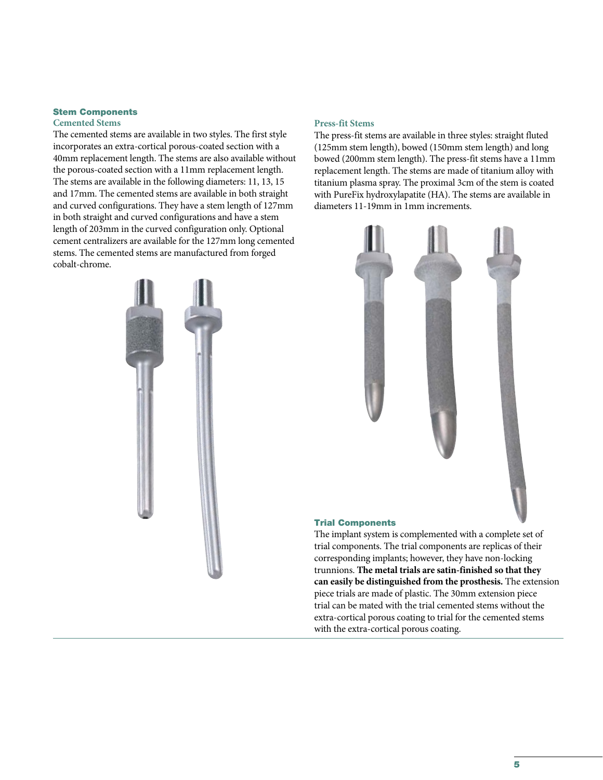#### Stem Components **Cemented Stems**

The cemented stems are available in two styles. The first style incorporates an extra-cortical porous-coated section with a 40mm replacement length. The stems are also available without the porous-coated section with a 11mm replacement length. The stems are available in the following diameters: 11, 13, 15 and 17mm. The cemented stems are available in both straight and curved configurations. They have a stem length of 127mm in both straight and curved configurations and have a stem length of 203mm in the curved configuration only. Optional cement centralizers are available for the 127mm long cemented stems. The cemented stems are manufactured from forged cobalt-chrome.



### **Press-fit Stems**

The press-fit stems are available in three styles: straight fluted (125mm stem length), bowed (150mm stem length) and long bowed (200mm stem length). The press-fit stems have a 11mm replacement length. The stems are made of titanium alloy with titanium plasma spray. The proximal 3cm of the stem is coated with PureFix hydroxylapatite (HA). The stems are available in diameters 11-19mm in 1mm increments.



#### Trial Components

The implant system is complemented with a complete set of trial components. The trial components are replicas of their corresponding implants; however, they have non-locking trunnions. **The metal trials are satin-finished so that they can easily be distinguished from the prosthesis.** The extension piece trials are made of plastic. The 30mm extension piece trial can be mated with the trial cemented stems without the extra-cortical porous coating to trial for the cemented stems with the extra-cortical porous coating.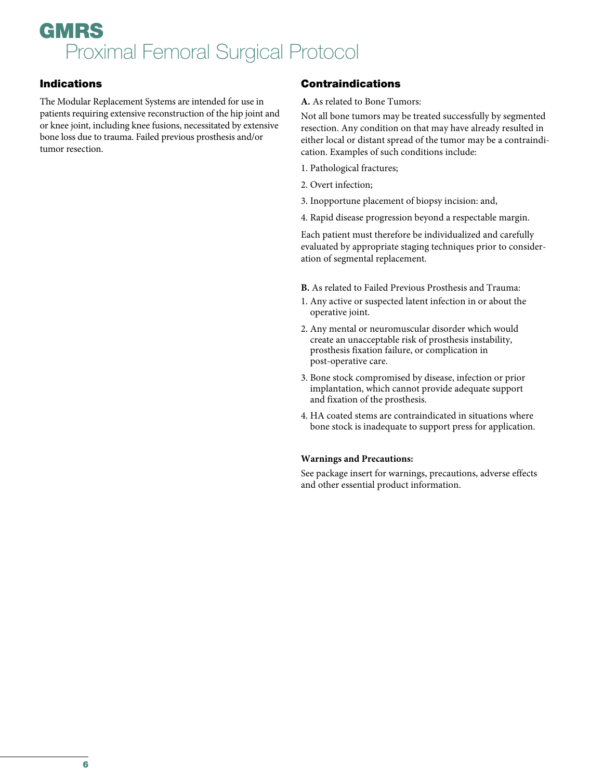# Indications

The Modular Replacement Systems are intended for use in patients requiring extensive reconstruction of the hip joint and or knee joint, including knee fusions, necessitated by extensive bone loss due to trauma. Failed previous prosthesis and/or tumor resection.

# Contraindications

### **A.** As related to Bone Tumors:

Not all bone tumors may be treated successfully by segmented resection. Any condition on that may have already resulted in either local or distant spread of the tumor may be a contraindication. Examples of such conditions include:

- 1. Pathological fractures;
- 2. Overt infection;
- 3. Inopportune placement of biopsy incision: and,
- 4. Rapid disease progression beyond a respectable margin.

Each patient must therefore be individualized and carefully evaluated by appropriate staging techniques prior to consideration of segmental replacement.

- **B.** As related to Failed Previous Prosthesis and Trauma:
- 1. Any active or suspected latent infection in or about the operative joint.
- 2. Any mental or neuromuscular disorder which would create an unacceptable risk of prosthesis instability, prosthesis fixation failure, or complication in post-operative care.
- 3. Bone stock compromised by disease, infection or prior implantation, which cannot provide adequate support and fixation of the prosthesis.
- 4. HA coated stems are contraindicated in situations where bone stock is inadequate to support press for application.

### **Warnings and Precautions:**

See package insert for warnings, precautions, adverse effects and other essential product information.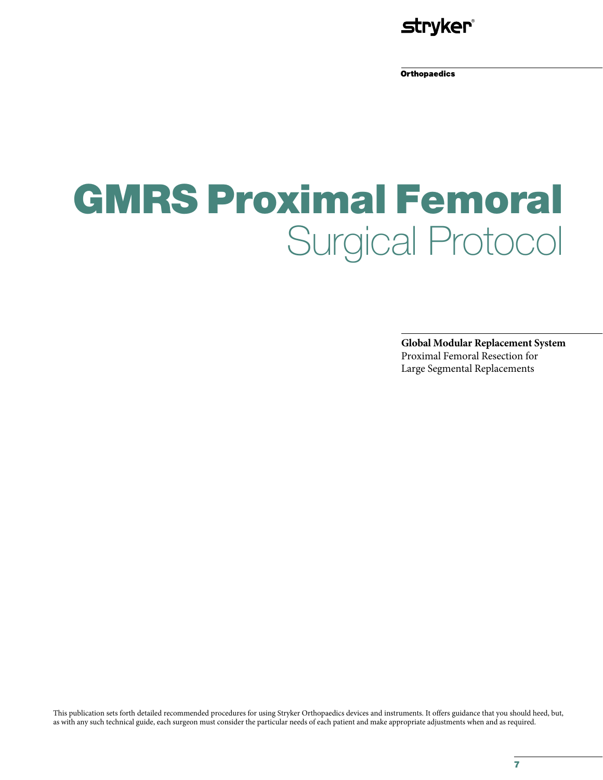

**Orthopaedics** 

# GMRS Proximal Femoral Surgical Protocol

**Global Modular Replacement System** Proximal Femoral Resection for Large Segmental Replacements

This publication sets forth detailed recommended procedures for using Stryker Orthopaedics devices and instruments. It offers guidance that you should heed, but, as with any such technical guide, each surgeon must consider the particular needs of each patient and make appropriate adjustments when and as required.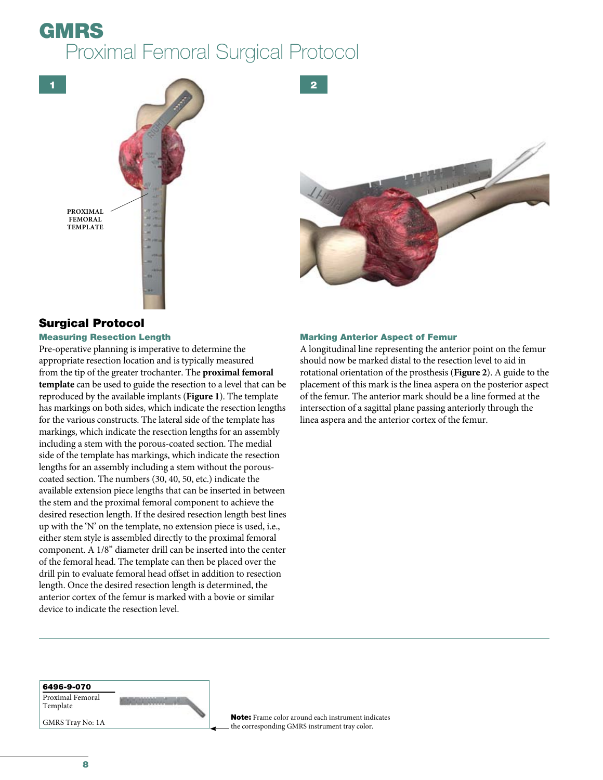1





# Surgical Protocol

#### Measuring Resection Length

Pre-operative planning is imperative to determine the appropriate resection location and is typically measured from the tip of the greater trochanter. The **proximal femoral template** can be used to guide the resection to a level that can be reproduced by the available implants (**Figure 1**). The template has markings on both sides, which indicate the resection lengths for the various constructs. The lateral side of the template has markings, which indicate the resection lengths for an assembly including a stem with the porous-coated section. The medial side of the template has markings, which indicate the resection lengths for an assembly including a stem without the porouscoated section. The numbers (30, 40, 50, etc.) indicate the available extension piece lengths that can be inserted in between the stem and the proximal femoral component to achieve the desired resection length. If the desired resection length best lines up with the 'N' on the template, no extension piece is used, i.e., either stem style is assembled directly to the proximal femoral component. A 1/8" diameter drill can be inserted into the center of the femoral head. The template can then be placed over the drill pin to evaluate femoral head offset in addition to resection length. Once the desired resection length is determined, the anterior cortex of the femur is marked with a bovie or similar device to indicate the resection level.

**CALIBRATION** 

### Marking Anterior Aspect of Femur

2

A longitudinal line representing the anterior point on the femur should now be marked distal to the resection level to aid in rotational orientation of the prosthesis (**Figure 2**). A guide to the placement of this mark is the linea aspera on the posterior aspect of the femur. The anterior mark should be a line formed at the intersection of a sagittal plane passing anteriorly through the linea aspera and the anterior cortex of the femur.

6496-9-070 Proximal Femoral Template

GMRS Tray No: 1A

Note: Frame color around each instrument indicates the corresponding GMRS instrument tray color.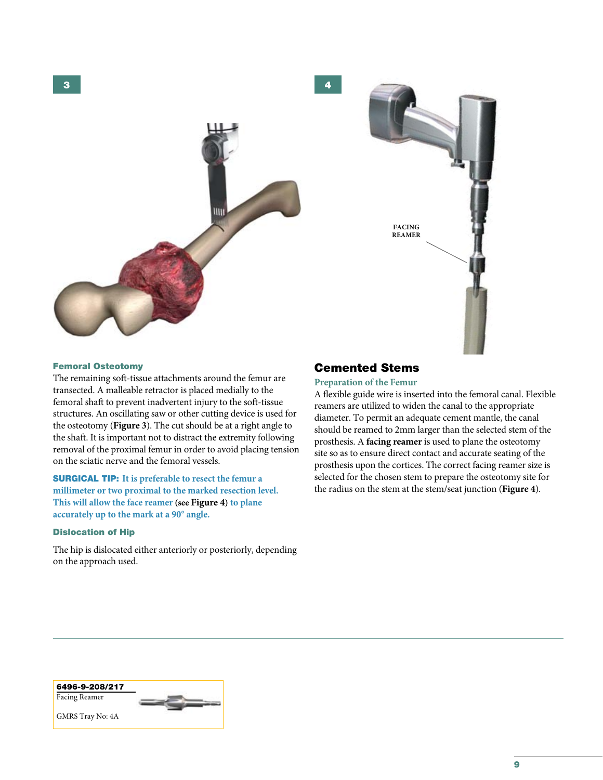3





#### Femoral Osteotomy

The remaining soft-tissue attachments around the femur are transected. A malleable retractor is placed medially to the femoral shaft to prevent inadvertent injury to the soft-tissue structures. An oscillating saw or other cutting device is used for the osteotomy (**Figure 3**). The cut should be at a right angle to the shaft. It is important not to distract the extremity following removal of the proximal femur in order to avoid placing tension on the sciatic nerve and the femoral vessels.

SURGICAL TIP: **It is preferable to resect the femur a millimeter or two proximal to the marked resection level. This will allow the face reamer (see Figure 4) to plane accurately up to the mark at a 90° angle.**

#### Dislocation of Hip

The hip is dislocated either anteriorly or posteriorly, depending on the approach used.

# Cemented Stems

4

### **Preparation of the Femur**

A flexible guide wire is inserted into the femoral canal. Flexible reamers are utilized to widen the canal to the appropriate diameter. To permit an adequate cement mantle, the canal should be reamed to 2mm larger than the selected stem of the prosthesis. A **facing reamer** is used to plane the osteotomy site so as to ensure direct contact and accurate seating of the prosthesis upon the cortices. The correct facing reamer size is selected for the chosen stem to prepare the osteotomy site for the radius on the stem at the stem/seat junction (**Figure 4**).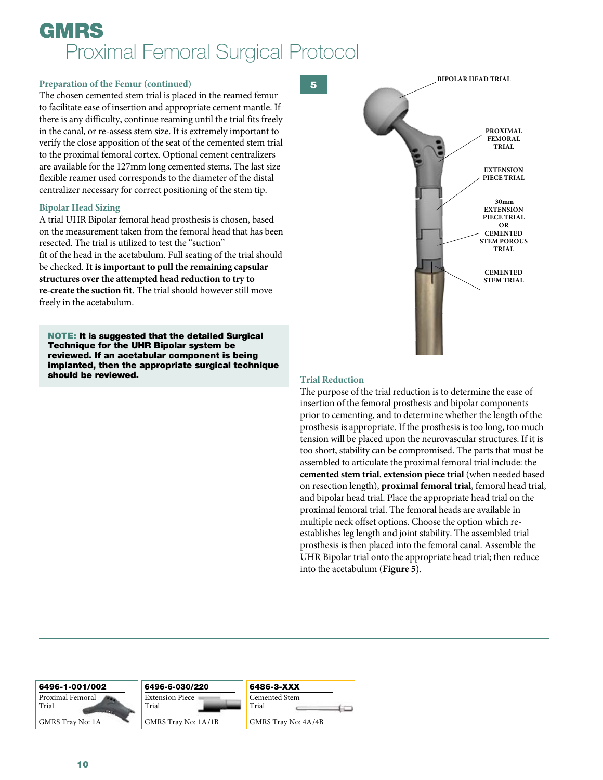## **Preparation of the Femur (continued)** 5

The chosen cemented stem trial is placed in the reamed femur to facilitate ease of insertion and appropriate cement mantle. If there is any difficulty, continue reaming until the trial fits freely in the canal, or re-assess stem size. It is extremely important to verify the close apposition of the seat of the cemented stem trial to the proximal femoral cortex. Optional cement centralizers are available for the 127mm long cemented stems. The last size flexible reamer used corresponds to the diameter of the distal centralizer necessary for correct positioning of the stem tip.

### **Bipolar Head Sizing**

A trial UHR Bipolar femoral head prosthesis is chosen, based on the measurement taken from the femoral head that has been resected. The trial is utilized to test the "suction" fit of the head in the acetabulum. Full seating of the trial should be checked. **It is important to pull the remaining capsular structures over the attempted head reduction to try to re-create the suction fit**. The trial should however still move freely in the acetabulum.

NOTE: It is suggested that the detailed Surgical Technique for the UHR Bipolar system be reviewed. If an acetabular component is being implanted, then the appropriate surgical technique should be reviewed.



# **Trial Reduction**

The purpose of the trial reduction is to determine the ease of insertion of the femoral prosthesis and bipolar components prior to cementing, and to determine whether the length of the prosthesis is appropriate. If the prosthesis is too long, too much tension will be placed upon the neurovascular structures. If it is too short, stability can be compromised. The parts that must be assembled to articulate the proximal femoral trial include: the **cemented stem trial**, **extension piece trial** (when needed based on resection length), **proximal femoral trial**, femoral head trial, and bipolar head trial. Place the appropriate head trial on the proximal femoral trial. The femoral heads are available in multiple neck offset options. Choose the option which reestablishes leg length and joint stability. The assembled trial prosthesis is then placed into the femoral canal. Assemble the UHR Bipolar trial onto the appropriate head trial; then reduce into the acetabulum (**Figure 5**).

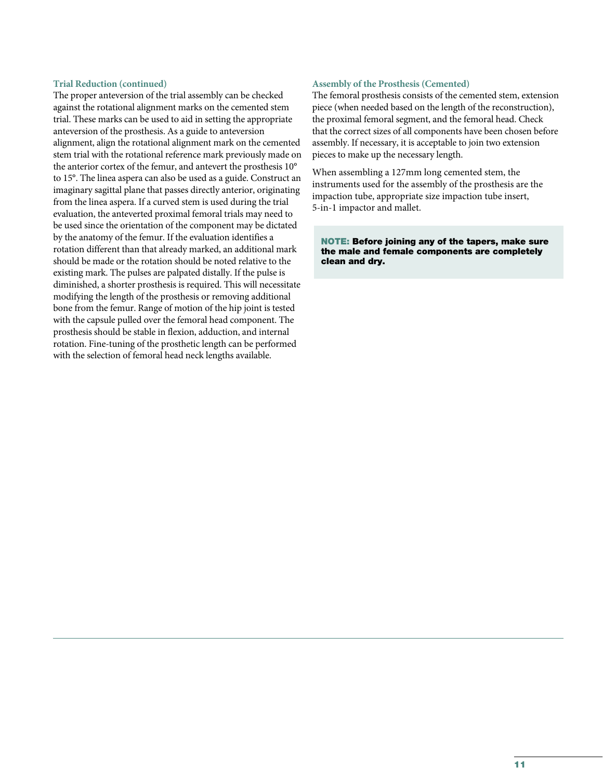### **Trial Reduction (continued)**

The proper anteversion of the trial assembly can be checked against the rotational alignment marks on the cemented stem trial. These marks can be used to aid in setting the appropriate anteversion of the prosthesis. As a guide to anteversion alignment, align the rotational alignment mark on the cemented stem trial with the rotational reference mark previously made on the anterior cortex of the femur, and antevert the prosthesis 10° to 15°. The linea aspera can also be used as a guide. Construct an imaginary sagittal plane that passes directly anterior, originating from the linea aspera. If a curved stem is used during the trial evaluation, the anteverted proximal femoral trials may need to be used since the orientation of the component may be dictated by the anatomy of the femur. If the evaluation identifies a rotation different than that already marked, an additional mark should be made or the rotation should be noted relative to the existing mark. The pulses are palpated distally. If the pulse is diminished, a shorter prosthesis is required. This will necessitate modifying the length of the prosthesis or removing additional bone from the femur. Range of motion of the hip joint is tested with the capsule pulled over the femoral head component. The prosthesis should be stable in flexion, adduction, and internal rotation. Fine-tuning of the prosthetic length can be performed with the selection of femoral head neck lengths available.

### **Assembly of the Prosthesis (Cemented)**

The femoral prosthesis consists of the cemented stem, extension piece (when needed based on the length of the reconstruction), the proximal femoral segment, and the femoral head. Check that the correct sizes of all components have been chosen before assembly. If necessary, it is acceptable to join two extension pieces to make up the necessary length.

When assembling a 127mm long cemented stem, the instruments used for the assembly of the prosthesis are the impaction tube, appropriate size impaction tube insert, 5-in-1 impactor and mallet.

NOTE: Before joining any of the tapers, make sure the male and female components are completely clean and dry.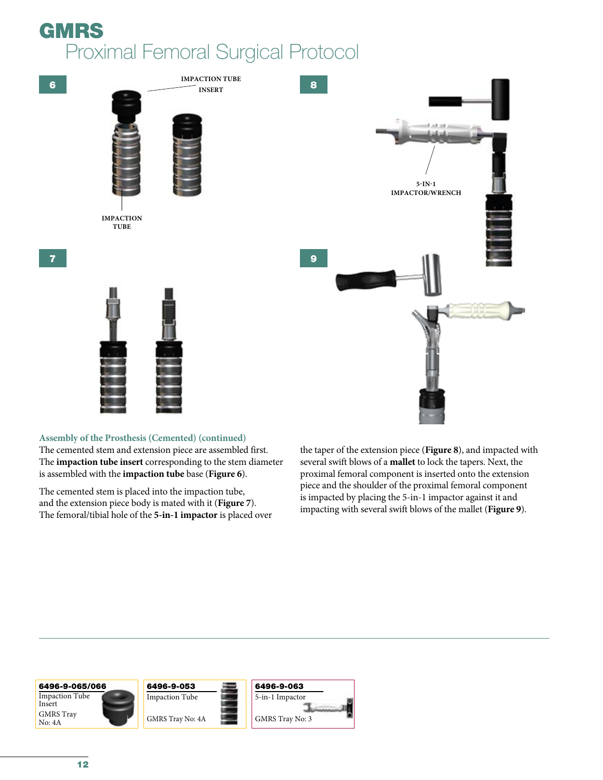



## **Assembly of the Prosthesis (Cemented) (continued)**

The cemented stem and extension piece are assembled first. The **impaction tube insert** corresponding to the stem diameter is assembled with the **impaction tube** base (**Figure 6**).

The cemented stem is placed into the impaction tube, and the extension piece body is mated with it (**Figure 7**). The femoral/tibial hole of the **5-in-1 impactor** is placed over the taper of the extension piece (**Figure 8**), and impacted with several swift blows of a **mallet** to lock the tapers. Next, the proximal femoral component is inserted onto the extension piece and the shoulder of the proximal femoral component is impacted by placing the 5-in-1 impactor against it and impacting with several swift blows of the mallet (**Figure 9**).

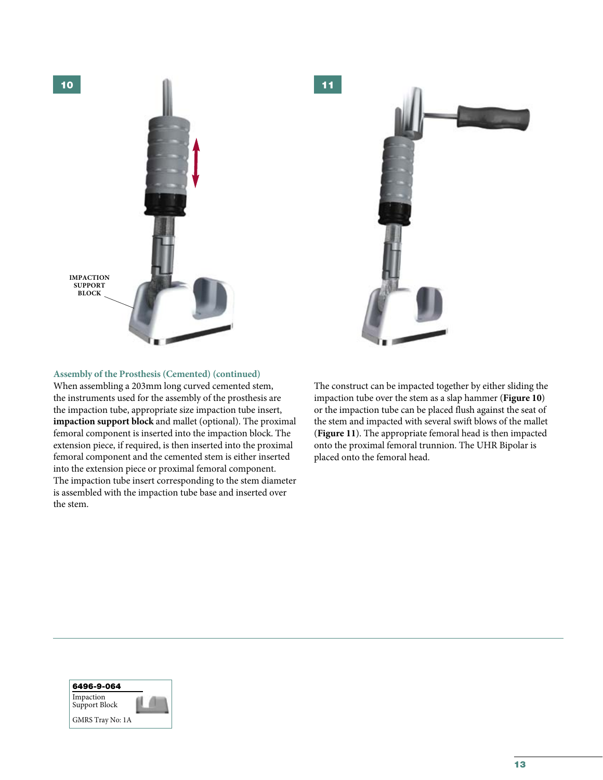



## **Assembly of the Prosthesis (Cemented) (continued)**

When assembling a 203mm long curved cemented stem, the instruments used for the assembly of the prosthesis are the impaction tube, appropriate size impaction tube insert, **impaction support block** and mallet (optional). The proximal femoral component is inserted into the impaction block. The extension piece, if required, is then inserted into the proximal femoral component and the cemented stem is either inserted into the extension piece or proximal femoral component. The impaction tube insert corresponding to the stem diameter is assembled with the impaction tube base and inserted over the stem.

The construct can be impacted together by either sliding the impaction tube over the stem as a slap hammer (**Figure 10**) or the impaction tube can be placed flush against the seat of the stem and impacted with several swift blows of the mallet (**Figure 11**). The appropriate femoral head is then impacted onto the proximal femoral trunnion. The UHR Bipolar is placed onto the femoral head.

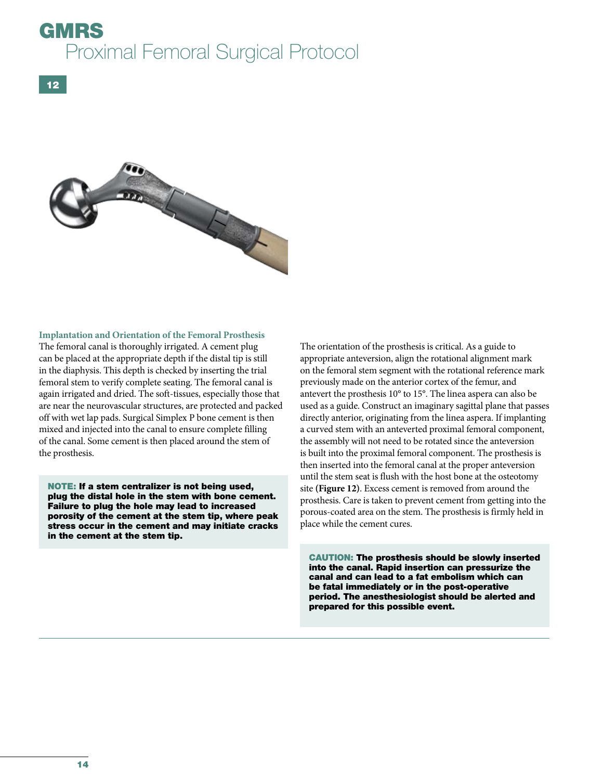

#### **Implantation and Orientation of the Femoral Prosthesis**

The femoral canal is thoroughly irrigated. A cement plug can be placed at the appropriate depth if the distal tip is still in the diaphysis. This depth is checked by inserting the trial femoral stem to verify complete seating. The femoral canal is again irrigated and dried. The soft-tissues, especially those that are near the neurovascular structures, are protected and packed off with wet lap pads. Surgical Simplex P bone cement is then mixed and injected into the canal to ensure complete filling of the canal. Some cement is then placed around the stem of the prosthesis.

NOTE: If a stem centralizer is not being used, plug the distal hole in the stem with bone cement. Failure to plug the hole may lead to increased porosity of the cement at the stem tip, where peak stress occur in the cement and may initiate cracks in the cement at the stem tip.

The orientation of the prosthesis is critical. As a guide to appropriate anteversion, align the rotational alignment mark on the femoral stem segment with the rotational reference mark previously made on the anterior cortex of the femur, and antevert the prosthesis 10° to 15°. The linea aspera can also be used as a guide. Construct an imaginary sagittal plane that passes directly anterior, originating from the linea aspera. If implanting a curved stem with an anteverted proximal femoral component, the assembly will not need to be rotated since the anteversion is built into the proximal femoral component. The prosthesis is then inserted into the femoral canal at the proper anteversion until the stem seat is flush with the host bone at the osteotomy site **(Figure 12)**. Excess cement is removed from around the prosthesis. Care is taken to prevent cement from getting into the porous-coated area on the stem. The prosthesis is firmly held in place while the cement cures.

CAUTION: The prosthesis should be slowly inserted into the canal. Rapid insertion can pressurize the canal and can lead to a fat embolism which can be fatal immediately or in the post-operative period. The anesthesiologist should be alerted and prepared for this possible event.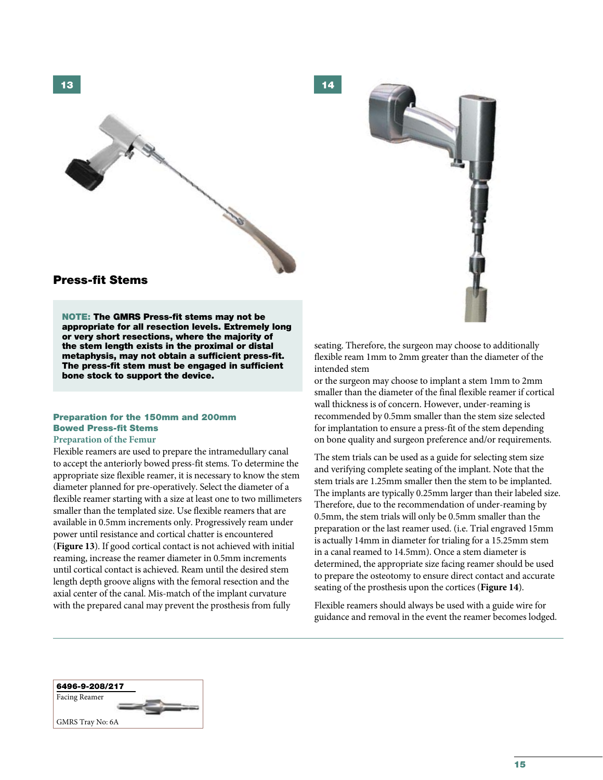

14



# Press-fit Stems

NOTE: The GMRS Press-fit stems may not be appropriate for all resection levels. Extremely long or very short resections, where the majority of the stem length exists in the proximal or distal metaphysis, may not obtain a sufficient press-fit. The press-fit stem must be engaged in sufficient bone stock to support the device.

## Preparation for the 150mm and 200mm Bowed Press-fit Stems

#### **Preparation of the Femur**

Flexible reamers are used to prepare the intramedullary canal to accept the anteriorly bowed press-fit stems. To determine the appropriate size flexible reamer, it is necessary to know the stem diameter planned for pre-operatively. Select the diameter of a flexible reamer starting with a size at least one to two millimeters smaller than the templated size. Use flexible reamers that are available in 0.5mm increments only. Progressively ream under power until resistance and cortical chatter is encountered (**Figure 13**). If good cortical contact is not achieved with initial reaming, increase the reamer diameter in 0.5mm increments until cortical contact is achieved. Ream until the desired stem length depth groove aligns with the femoral resection and the axial center of the canal. Mis-match of the implant curvature with the prepared canal may prevent the prosthesis from fully

seating. Therefore, the surgeon may choose to additionally flexible ream 1mm to 2mm greater than the diameter of the intended stem

or the surgeon may choose to implant a stem 1mm to 2mm smaller than the diameter of the final flexible reamer if cortical wall thickness is of concern. However, under-reaming is recommended by 0.5mm smaller than the stem size selected for implantation to ensure a press-fit of the stem depending on bone quality and surgeon preference and/or requirements.

The stem trials can be used as a guide for selecting stem size and verifying complete seating of the implant. Note that the stem trials are 1.25mm smaller then the stem to be implanted. The implants are typically 0.25mm larger than their labeled size. Therefore, due to the recommendation of under-reaming by 0.5mm, the stem trials will only be 0.5mm smaller than the preparation or the last reamer used. (i.e. Trial engraved 15mm is actually 14mm in diameter for trialing for a 15.25mm stem in a canal reamed to 14.5mm). Once a stem diameter is determined, the appropriate size facing reamer should be used to prepare the osteotomy to ensure direct contact and accurate seating of the prosthesis upon the cortices (**Figure 14**).

Flexible reamers should always be used with a guide wire for guidance and removal in the event the reamer becomes lodged.

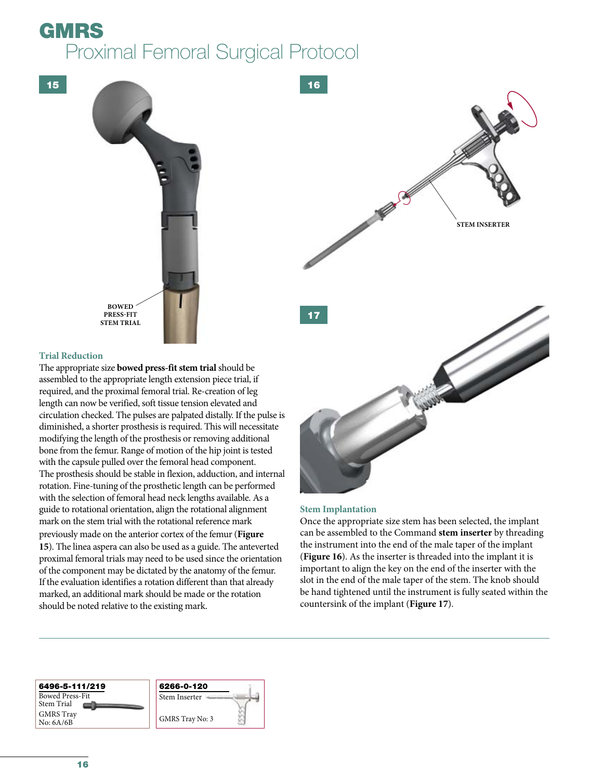

## **Trial Reduction**

The appropriate size **bowed press-fit stem trial** should be assembled to the appropriate length extension piece trial, if required, and the proximal femoral trial. Re-creation of leg length can now be verified, soft tissue tension elevated and circulation checked. The pulses are palpated distally. If the pulse is diminished, a shorter prosthesis is required. This will necessitate modifying the length of the prosthesis or removing additional bone from the femur. Range of motion of the hip joint is tested with the capsule pulled over the femoral head component. The prosthesis should be stable in flexion, adduction, and internal rotation. Fine-tuning of the prosthetic length can be performed with the selection of femoral head neck lengths available. As a guide to rotational orientation, align the rotational alignment mark on the stem trial with the rotational reference mark previously made on the anterior cortex of the femur (**Figure 15**). The linea aspera can also be used as a guide. The anteverted proximal femoral trials may need to be used since the orientation of the component may be dictated by the anatomy of the femur. If the evaluation identifies a rotation different than that already marked, an additional mark should be made or the rotation should be noted relative to the existing mark.

# **Stem Implantation**

Once the appropriate size stem has been selected, the implant can be assembled to the Command **stem inserter** by threading the instrument into the end of the male taper of the implant (**Figure 16**). As the inserter is threaded into the implant it is important to align the key on the end of the inserter with the slot in the end of the male taper of the stem. The knob should be hand tightened until the instrument is fully seated within the countersink of the implant (**Figure 17**).

#### 6496-5-111/219 Bowed Press-Fit Stem Trial GMRS Tray No: 6A/6B 6266-0-120 Stem Inserter GMRS Tray No: 3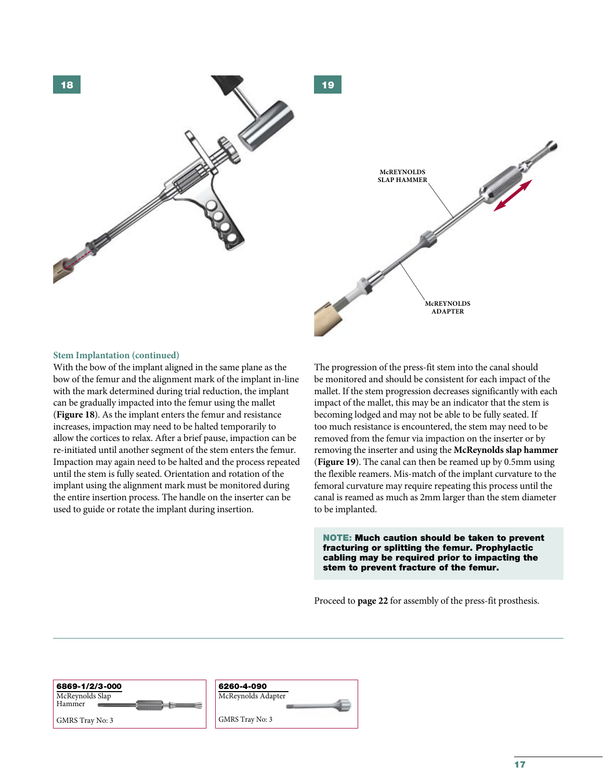

#### **Stem Implantation (continued)**

With the bow of the implant aligned in the same plane as the bow of the femur and the alignment mark of the implant in-line with the mark determined during trial reduction, the implant can be gradually impacted into the femur using the mallet (**Figure 18**). As the implant enters the femur and resistance increases, impaction may need to be halted temporarily to allow the cortices to relax. After a brief pause, impaction can be re-initiated until another segment of the stem enters the femur. Impaction may again need to be halted and the process repeated until the stem is fully seated. Orientation and rotation of the implant using the alignment mark must be monitored during the entire insertion process. The handle on the inserter can be used to guide or rotate the implant during insertion.

The progression of the press-fit stem into the canal should be monitored and should be consistent for each impact of the mallet. If the stem progression decreases significantly with each impact of the mallet, this may be an indicator that the stem is becoming lodged and may not be able to be fully seated. If too much resistance is encountered, the stem may need to be removed from the femur via impaction on the inserter or by removing the inserter and using the **McReynolds slap hammer** (**Figure 19**). The canal can then be reamed up by 0.5mm using the flexible reamers. Mis-match of the implant curvature to the femoral curvature may require repeating this process until the canal is reamed as much as 2mm larger than the stem diameter to be implanted.

NOTE: Much caution should be taken to prevent fracturing or splitting the femur. Prophylactic cabling may be required prior to impacting the stem to prevent fracture of the femur.

Proceed to **page 22** for assembly of the press-fit prosthesis.

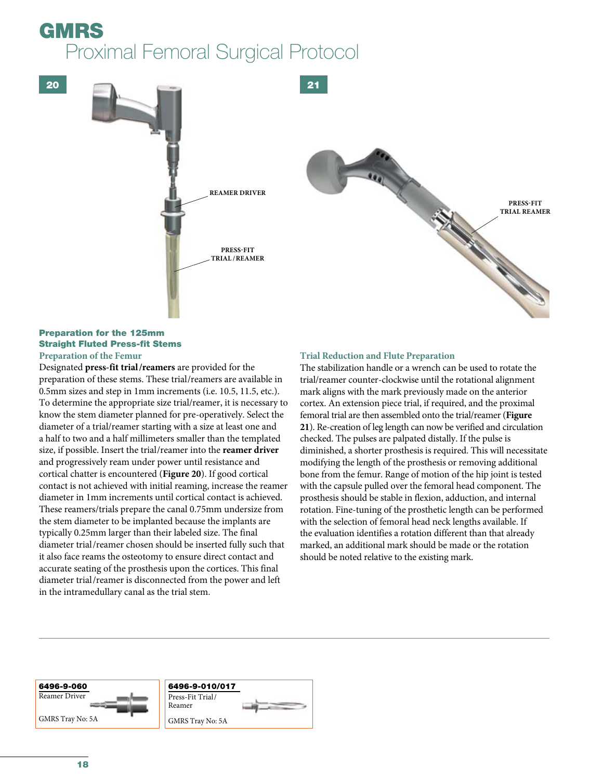20



# Preparation for the 125mm Straight Fluted Press-fit Stems

**Preparation of the Femur**

Designated **press-fit trial/reamers** are provided for the preparation of these stems. These trial/reamers are available in 0.5mm sizes and step in 1mm increments (i.e. 10.5, 11.5, etc.). To determine the appropriate size trial/reamer, it is necessary to know the stem diameter planned for pre-operatively. Select the diameter of a trial/reamer starting with a size at least one and a half to two and a half millimeters smaller than the templated size, if possible. Insert the trial/reamer into the **reamer driver** and progressively ream under power until resistance and cortical chatter is encountered (**Figure 20**). If good cortical contact is not achieved with initial reaming, increase the reamer diameter in 1mm increments until cortical contact is achieved. These reamers/trials prepare the canal 0.75mm undersize from the stem diameter to be implanted because the implants are typically 0.25mm larger than their labeled size. The final diameter trial/reamer chosen should be inserted fully such that it also face reams the osteotomy to ensure direct contact and accurate seating of the prosthesis upon the cortices. This final diameter trial/reamer is disconnected from the power and left in the intramedullary canal as the trial stem.

# **Trial Reduction and Flute Preparation**

The stabilization handle or a wrench can be used to rotate the trial/reamer counter-clockwise until the rotational alignment mark aligns with the mark previously made on the anterior cortex. An extension piece trial, if required, and the proximal femoral trial are then assembled onto the trial/reamer (**Figure 21**). Re-creation of leg length can now be verified and circulation checked. The pulses are palpated distally. If the pulse is diminished, a shorter prosthesis is required. This will necessitate modifying the length of the prosthesis or removing additional bone from the femur. Range of motion of the hip joint is tested with the capsule pulled over the femoral head component. The prosthesis should be stable in flexion, adduction, and internal rotation. Fine-tuning of the prosthetic length can be performed with the selection of femoral head neck lengths available. If the evaluation identifies a rotation different than that already marked, an additional mark should be made or the rotation should be noted relative to the existing mark.

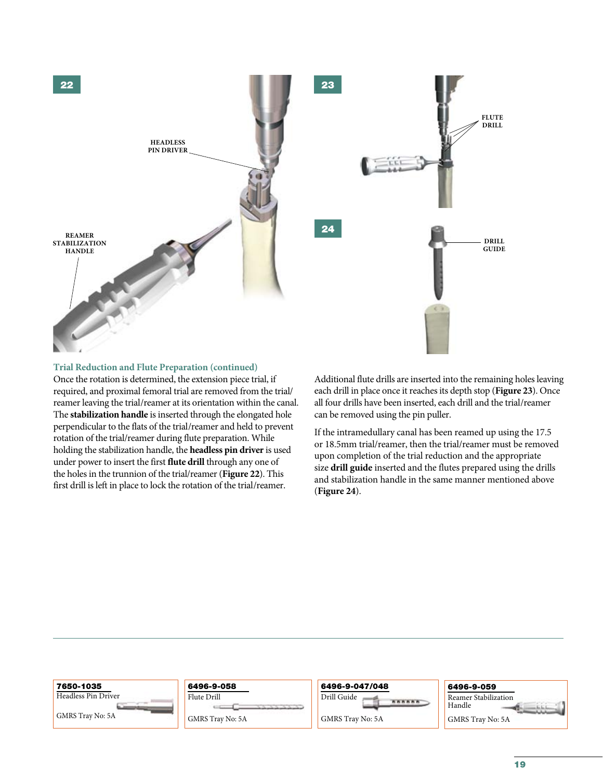

### **Trial Reduction and Flute Preparation (continued)**

Once the rotation is determined, the extension piece trial, if required, and proximal femoral trial are removed from the trial/ reamer leaving the trial/reamer at its orientation within the canal. The **stabilization handle** is inserted through the elongated hole perpendicular to the flats of the trial/reamer and held to prevent rotation of the trial/reamer during flute preparation. While holding the stabilization handle, the **headless pin driver** is used under power to insert the first **flute drill** through any one of the holes in the trunnion of the trial/reamer (**Figure 22**). This first drill is left in place to lock the rotation of the trial/reamer.

Additional flute drills are inserted into the remaining holes leaving each drill in place once it reaches its depth stop (**Figure 23**). Once all four drills have been inserted, each drill and the trial/reamer can be removed using the pin puller.

If the intramedullary canal has been reamed up using the 17.5 or 18.5mm trial/reamer, then the trial/reamer must be removed upon completion of the trial reduction and the appropriate size **drill guide** inserted and the flutes prepared using the drills and stabilization handle in the same manner mentioned above (**Figure 24**).

| 7650-1035           | 6496-9-058              | 6496-9-047/048                                                        | 6496-9-059                     |
|---------------------|-------------------------|-----------------------------------------------------------------------|--------------------------------|
| Headless Pin Driver | Flute Drill             | Drill Guide<br><b><i><i><u><i><u><b>AAAAA</b></u></i></u></i></i></b> | Reamer Stabilization<br>Handle |
| GMRS Trav No: 5A    | <b>GMRS Trav No: 5A</b> | <b>GMRS Trav No: 5A</b>                                               | GMRS Trav No: 5A               |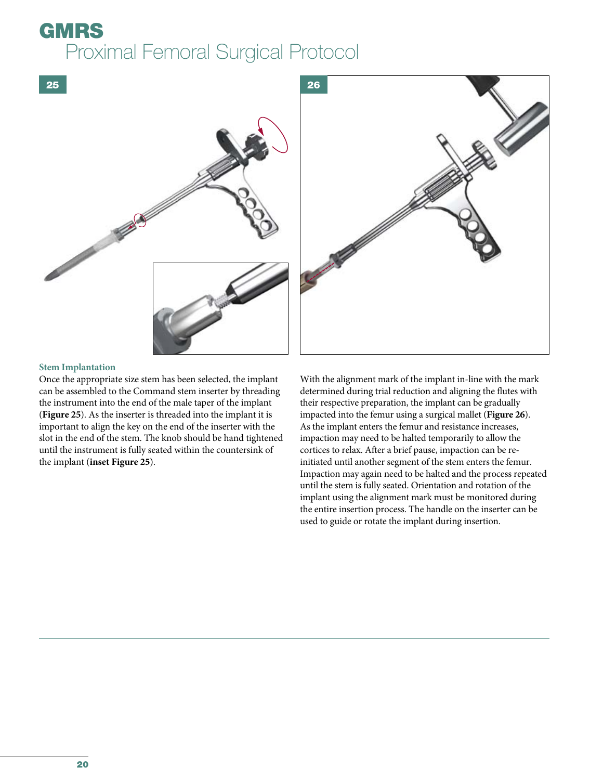

# **Stem Implantation**

Once the appropriate size stem has been selected, the implant can be assembled to the Command stem inserter by threading the instrument into the end of the male taper of the implant (**Figure 25**). As the inserter is threaded into the implant it is important to align the key on the end of the inserter with the slot in the end of the stem. The knob should be hand tightened until the instrument is fully seated within the countersink of the implant (**inset Figure 25**).

With the alignment mark of the implant in-line with the mark determined during trial reduction and aligning the flutes with their respective preparation, the implant can be gradually impacted into the femur using a surgical mallet (**Figure 26**). As the implant enters the femur and resistance increases, impaction may need to be halted temporarily to allow the cortices to relax. After a brief pause, impaction can be reinitiated until another segment of the stem enters the femur. Impaction may again need to be halted and the process repeated until the stem is fully seated. Orientation and rotation of the implant using the alignment mark must be monitored during the entire insertion process. The handle on the inserter can be used to guide or rotate the implant during insertion.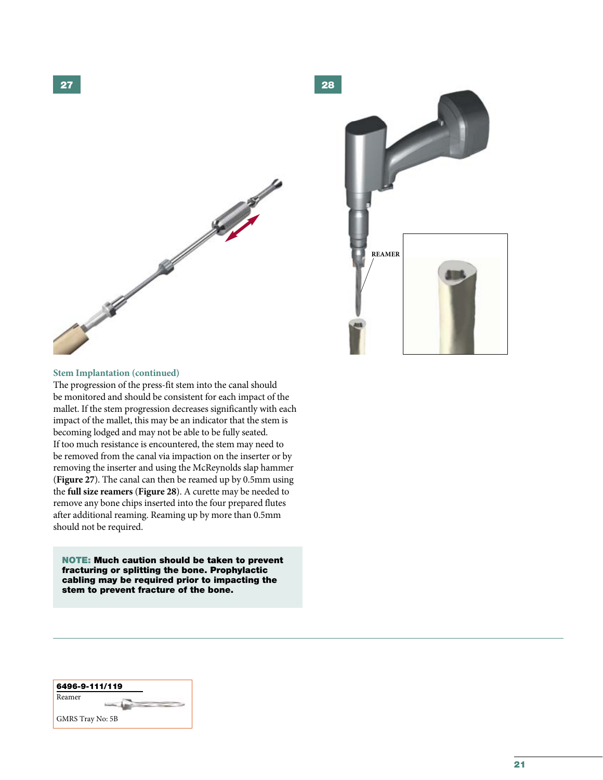

28 **REAMER**

### **Stem Implantation (continued)**

The progression of the press-fit stem into the canal should be monitored and should be consistent for each impact of the mallet. If the stem progression decreases significantly with each impact of the mallet, this may be an indicator that the stem is becoming lodged and may not be able to be fully seated. If too much resistance is encountered, the stem may need to be removed from the canal via impaction on the inserter or by removing the inserter and using the McReynolds slap hammer (**Figure 27**). The canal can then be reamed up by 0.5mm using the **full size reamers** (**Figure 28**). A curette may be needed to remove any bone chips inserted into the four prepared flutes after additional reaming. Reaming up by more than 0.5mm should not be required.

NOTE: Much caution should be taken to prevent fracturing or splitting the bone. Prophylactic cabling may be required prior to impacting the stem to prevent fracture of the bone.

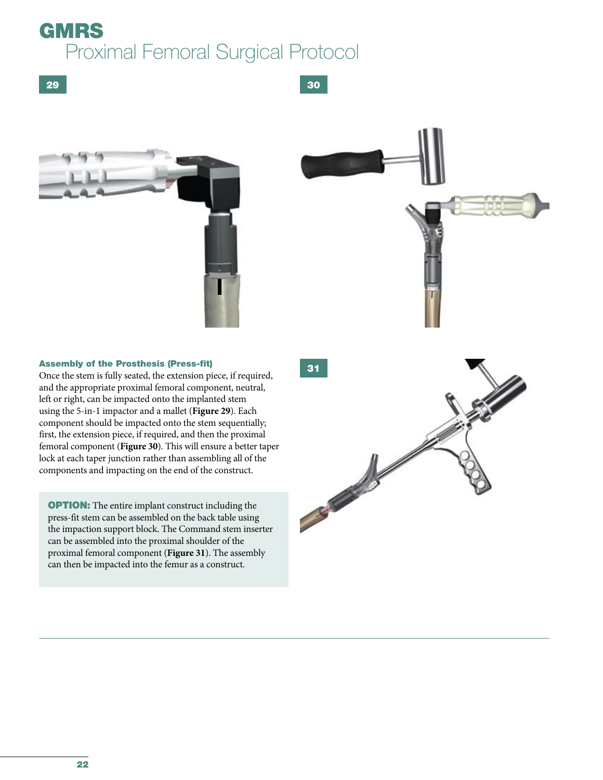30





### Assembly of the Prosthesis (Press-fit)

Once the stem is fully seated, the extension piece, if required, and the appropriate proximal femoral component, neutral, left or right, can be impacted onto the implanted stem using the 5-in-1 impactor and a mallet (**Figure 29**). Each component should be impacted onto the stem sequentially; first, the extension piece, if required, and then the proximal femoral component (**Figure 30**). This will ensure a better taper lock at each taper junction rather than assembling all of the components and impacting on the end of the construct.

**OPTION:** The entire implant construct including the press-fit stem can be assembled on the back table using the impaction support block. The Command stem inserter can be assembled into the proximal shoulder of the proximal femoral component (**Figure 31**). The assembly can then be impacted into the femur as a construct.

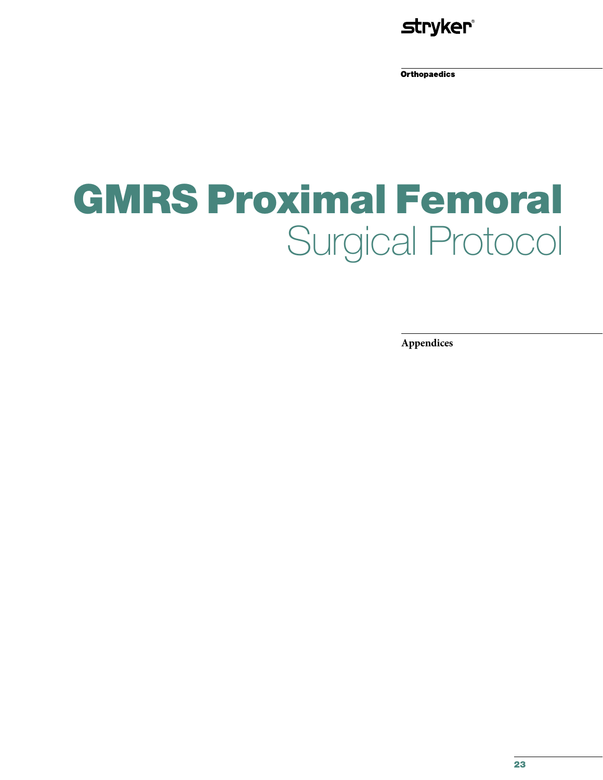

**Orthopaedics** 

# GMRS Proximal Femoral Surgical Protocol

**Appendices**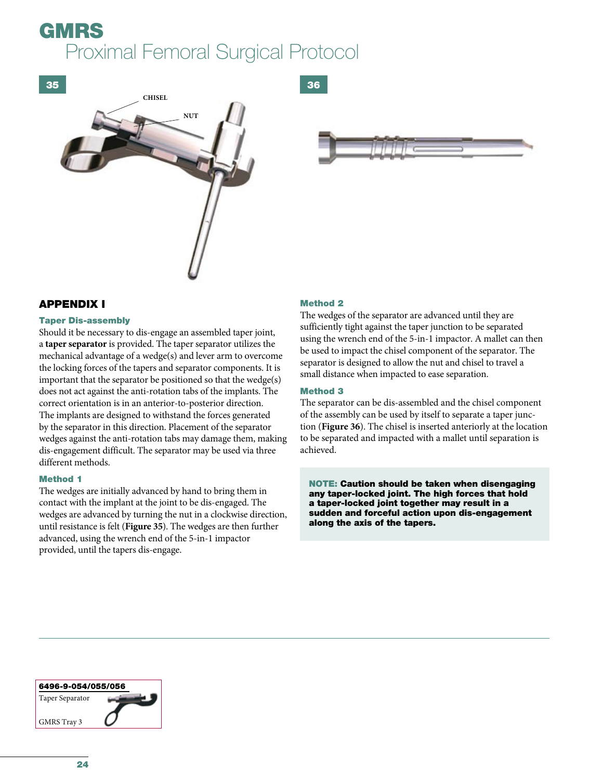



# APPENDIX I

### Taper Dis-assembly

Should it be necessary to dis-engage an assembled taper joint, a **taper separator** is provided. The taper separator utilizes the mechanical advantage of a wedge(s) and lever arm to overcome the locking forces of the tapers and separator components. It is important that the separator be positioned so that the wedge(s) does not act against the anti-rotation tabs of the implants. The correct orientation is in an anterior-to-posterior direction. The implants are designed to withstand the forces generated by the separator in this direction. Placement of the separator wedges against the anti-rotation tabs may damage them, making dis-engagement difficult. The separator may be used via three different methods.

### Method 1

The wedges are initially advanced by hand to bring them in contact with the implant at the joint to be dis-engaged. The wedges are advanced by turning the nut in a clockwise direction, until resistance is felt (**Figure 35**). The wedges are then further advanced, using the wrench end of the 5-in-1 impactor provided, until the tapers dis-engage.

## Method 2

The wedges of the separator are advanced until they are sufficiently tight against the taper junction to be separated using the wrench end of the 5-in-1 impactor. A mallet can then be used to impact the chisel component of the separator. The separator is designed to allow the nut and chisel to travel a small distance when impacted to ease separation.

## Method 3

The separator can be dis-assembled and the chisel component of the assembly can be used by itself to separate a taper junction (**Figure 36**). The chisel is inserted anteriorly at the location to be separated and impacted with a mallet until separation is achieved.

NOTE: Caution should be taken when disengaging any taper-locked joint. The high forces that hold a taper-locked joint together may result in a sudden and forceful action upon dis-engagement along the axis of the tapers.

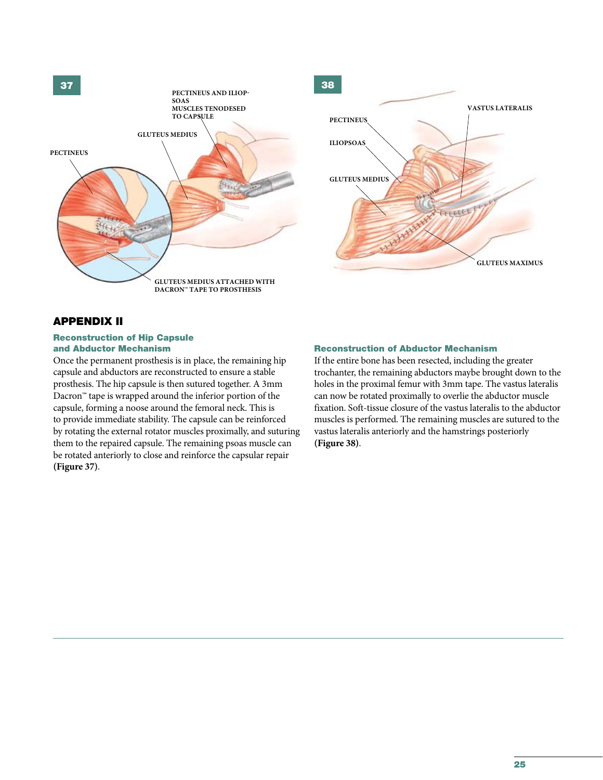

# APPENDIX II

#### Reconstruction of Hip Capsule and Abductor Mechanism

Once the permanent prosthesis is in place, the remaining hip capsule and abductors are reconstructed to ensure a stable prosthesis. The hip capsule is then sutured together. A 3mm Dacron™ tape is wrapped around the inferior portion of the capsule, forming a noose around the femoral neck. This is to provide immediate stability. The capsule can be reinforced by rotating the external rotator muscles proximally, and suturing them to the repaired capsule. The remaining psoas muscle can be rotated anteriorly to close and reinforce the capsular repair **(Figure 37)**.

### Reconstruction of Abductor Mechanism

If the entire bone has been resected, including the greater trochanter, the remaining abductors maybe brought down to the holes in the proximal femur with 3mm tape. The vastus lateralis can now be rotated proximally to overlie the abductor muscle fixation. Soft-tissue closure of the vastus lateralis to the abductor muscles is performed. The remaining muscles are sutured to the vastus lateralis anteriorly and the hamstrings posteriorly **(Figure 38)**.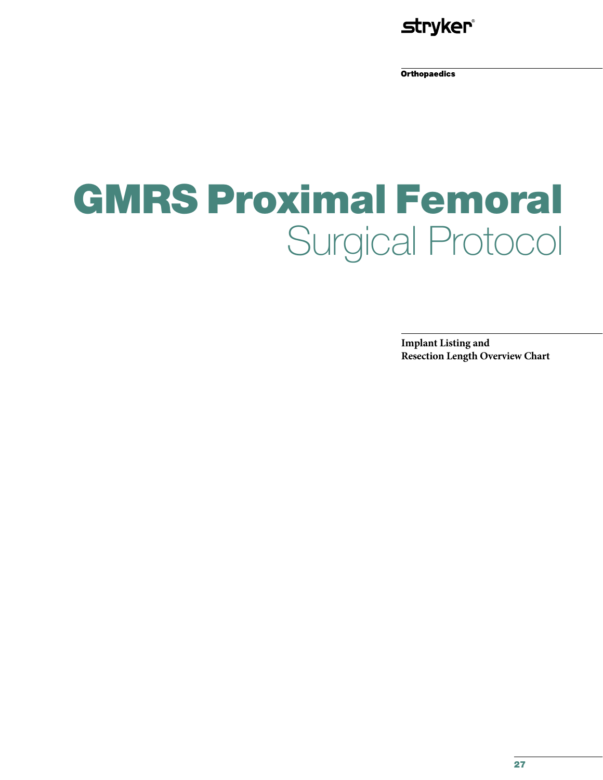

**Orthopaedics** 

# GMRS Proximal Femoral Surgical Protocol

**Implant Listing and Resection Length Overview Chart**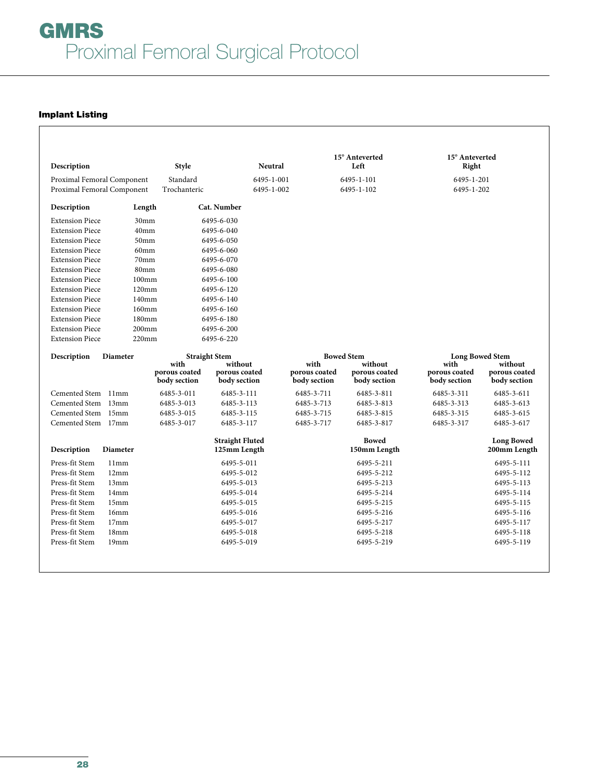# Implant Listing

| Description                      |                            | <b>Style</b>                  | <b>Neutral</b>                         |                               | 15° Anteverted<br>Left        | 15° Anteverted<br>Right       |                                   |
|----------------------------------|----------------------------|-------------------------------|----------------------------------------|-------------------------------|-------------------------------|-------------------------------|-----------------------------------|
|                                  | Proximal Femoral Component | Standard                      | 6495-1-001                             |                               | 6495-1-101                    | 6495-1-201                    |                                   |
|                                  | Proximal Femoral Component | Trochanteric                  | 6495-1-002                             |                               | 6495-1-102                    | 6495-1-202                    |                                   |
| Description                      | Length                     | Cat. Number                   |                                        |                               |                               |                               |                                   |
| <b>Extension Piece</b>           | 30 <sub>mm</sub>           | 6495-6-030                    |                                        |                               |                               |                               |                                   |
| <b>Extension Piece</b>           | 40 <sub>mm</sub>           | 6495-6-040                    |                                        |                               |                               |                               |                                   |
| <b>Extension Piece</b>           | 50 <sub>mm</sub>           | 6495-6-050                    |                                        |                               |                               |                               |                                   |
| <b>Extension Piece</b>           | 60 <sub>mm</sub>           | 6495-6-060                    |                                        |                               |                               |                               |                                   |
| <b>Extension Piece</b>           | 70mm                       | 6495-6-070                    |                                        |                               |                               |                               |                                   |
| <b>Extension Piece</b>           | 80 <sub>mm</sub>           | 6495-6-080                    |                                        |                               |                               |                               |                                   |
| <b>Extension Piece</b>           | 100 <sub>mm</sub>          | 6495-6-100                    |                                        |                               |                               |                               |                                   |
| <b>Extension Piece</b>           | 120mm                      | 6495-6-120                    |                                        |                               |                               |                               |                                   |
| <b>Extension Piece</b>           | 140mm                      | 6495-6-140                    |                                        |                               |                               |                               |                                   |
| <b>Extension Piece</b>           | $160$ mm                   | 6495-6-160                    |                                        |                               |                               |                               |                                   |
| <b>Extension Piece</b>           | 180 <sub>mm</sub>          | 6495-6-180                    |                                        |                               |                               |                               |                                   |
| <b>Extension Piece</b>           | 200 <sub>mm</sub>          | 6495-6-200                    |                                        |                               |                               |                               |                                   |
| <b>Extension Piece</b>           | 220 <sub>mm</sub>          | 6495-6-220                    |                                        |                               |                               |                               |                                   |
| Description                      | <b>Diameter</b>            | <b>Straight Stem</b>          |                                        |                               | <b>Bowed Stem</b>             | <b>Long Bowed Stem</b>        |                                   |
|                                  |                            | with                          | without                                | with                          | without                       | with                          | without                           |
|                                  |                            | porous coated<br>body section | porous coated<br>body section          | porous coated<br>body section | porous coated<br>body section | porous coated<br>body section | porous coated<br>body section     |
| Cemented Stem 11mm               |                            | 6485-3-011                    | 6485-3-111                             | 6485-3-711                    | 6485-3-811                    | 6485-3-311                    | 6485-3-611                        |
| Cemented Stem 13mm               |                            | 6485-3-013                    | 6485-3-113                             | 6485-3-713                    | 6485-3-813                    | 6485-3-313                    | 6485-3-613                        |
| Cemented Stem 15mm               |                            | 6485-3-015                    | 6485-3-115                             | 6485-3-715                    | 6485-3-815                    | 6485-3-315                    | 6485-3-615                        |
| Cemented Stem 17mm               |                            | 6485-3-017                    | 6485-3-117                             | 6485-3-717                    | 6485-3-817                    | 6485-3-317                    | 6485-3-617                        |
| Description                      | <b>Diameter</b>            |                               | <b>Straight Fluted</b><br>125mm Length |                               | <b>Bowed</b><br>150mm Length  |                               | <b>Long Bowed</b><br>200mm Length |
| Press-fit Stem                   | 11mm                       |                               | 6495-5-011                             |                               | 6495-5-211                    |                               | 6495-5-111                        |
| Press-fit Stem                   | 12mm                       |                               | 6495-5-012                             |                               | 6495-5-212                    |                               | 6495-5-112                        |
| Press-fit Stem                   | 13mm                       |                               | 6495-5-013                             |                               | 6495-5-213                    |                               | 6495-5-113                        |
| Press-fit Stem                   | 14mm                       |                               | 6495-5-014                             |                               | 6495-5-214                    |                               | 6495-5-114                        |
| Press-fit Stem                   | 15mm                       |                               | 6495-5-015                             |                               | 6495-5-215                    |                               | 6495-5-115                        |
| Press-fit Stem                   | 16mm                       |                               | 6495-5-016                             |                               | 6495-5-216                    |                               | 6495-5-116                        |
| Press-fit Stem                   | 17mm                       |                               | 6495-5-017                             |                               | 6495-5-217                    |                               | 6495-5-117                        |
|                                  | 18mm                       |                               |                                        |                               | 6495-5-218                    |                               | 6495-5-118                        |
|                                  | 19mm                       |                               | 6495-5-019                             |                               | 6495-5-219                    |                               | 6495-5-119                        |
| Press-fit Stem<br>Press-fit Stem |                            |                               | 6495-5-018                             |                               |                               |                               |                                   |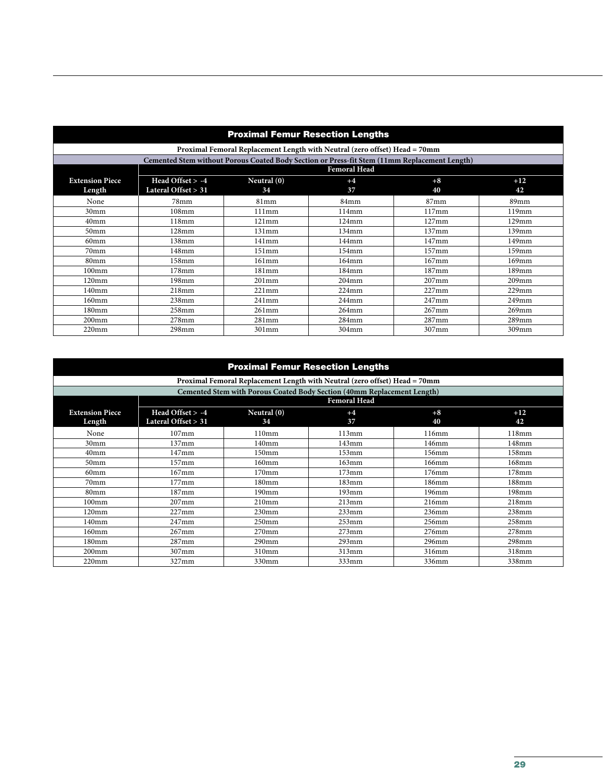| <b>Proximal Femur Resection Lengths</b> |                       |             |                                                                                              |          |          |
|-----------------------------------------|-----------------------|-------------|----------------------------------------------------------------------------------------------|----------|----------|
|                                         |                       |             | Proximal Femoral Replacement Length with Neutral (zero offset) Head = 70mm                   |          |          |
|                                         |                       |             | Cemented Stem without Porous Coated Body Section or Press-fit Stem (11mm Replacement Length) |          |          |
|                                         |                       |             | <b>Femoral Head</b>                                                                          |          |          |
| <b>Extension Piece</b>                  | Head Offset > -4      | Neutral (0) | $+4$                                                                                         | $+8$     | $+12$    |
| Length                                  | Lateral Offset $> 31$ | 34          | 37                                                                                           | 40       | 42       |
| None                                    | 78mm                  | 81mm        | 84mm                                                                                         | $87$ mm  | 89mm     |
| 30 <sub>mm</sub>                        | 108mm                 | 111mm       | 114mm                                                                                        | 117mm    | 119mm    |
| 40 <sub>mm</sub>                        | 118mm                 | 121mm       | 124mm                                                                                        | $127$ mm | $129$ mm |
| 50 <sub>mm</sub>                        | $128 \text{mm}$       | 131mm       | 134mm                                                                                        | 137mm    | $139$ mm |
| 60 <sub>mm</sub>                        | 138mm                 | 141mm       | $144$ mm                                                                                     | $147$ mm | 149mm    |
| 70mm                                    | 148mm                 | 151mm       | $154$ mm                                                                                     | $157$ mm | $159$ mm |
| 80 <sub>mm</sub>                        | 158mm                 | 161mm       | $164$ mm                                                                                     | $167$ mm | $169$ mm |
| $100$ mm                                | $178 \text{mm}$       | 181mm       | $184$ mm                                                                                     | 187mm    | 189mm    |
| $120 \text{mm}$                         | 198 <sub>mm</sub>     | $201$ mm    | $204$ mm                                                                                     | $207$ mm | $209$ mm |
| 140 <sub>mm</sub>                       | 218mm                 | 221mm       | $224$ mm                                                                                     | $227$ mm | $229$ mm |
| $160$ mm                                | 238mm                 | 241mm       | $244$ mm                                                                                     | $247$ mm | 249mm    |
| 180 <sub>mm</sub>                       | $258$ mm              | 261mm       | 264mm                                                                                        | $267$ mm | $269$ mm |
| 200mm                                   | $278$ mm              | 281mm       | $284$ mm                                                                                     | 287mm    | $289$ mm |
| $220$ mm                                | $298$ mm              | 301mm       | 304mm                                                                                        | 307mm    | 309mm    |

| <b>Proximal Femur Resection Lengths</b> |                                         |                     |                                                                                |            |                   |
|-----------------------------------------|-----------------------------------------|---------------------|--------------------------------------------------------------------------------|------------|-------------------|
|                                         |                                         |                     | Proximal Femoral Replacement Length with Neutral (zero offset) Head = 70mm     |            |                   |
|                                         |                                         |                     | <b>Cemented Stem with Porous Coated Body Section (40mm Replacement Length)</b> |            |                   |
|                                         |                                         | <b>Femoral Head</b> |                                                                                |            |                   |
| <b>Extension Piece</b><br>Length        | Head Offset > -4<br>Lateral Offset > 31 | Neutral $(0)$<br>34 | $+4$<br>37                                                                     | $+8$<br>40 | $+12$<br>42       |
| None                                    | $107$ mm                                | 110mm               | 113mm                                                                          | 116mm      | 118mm             |
| 30 <sub>mm</sub>                        | 137mm                                   | 140 <sub>mm</sub>   | 143mm                                                                          | 146mm      | 148mm             |
| 40 <sub>mm</sub>                        | 147mm                                   | 150mm               | 153mm                                                                          | 156mm      | 158mm             |
| 50 <sub>mm</sub>                        | $157$ mm                                | $160$ mm            | $163$ mm                                                                       | 166mm      | 168mm             |
| 60 <sub>mm</sub>                        | $167$ mm                                | $170$ mm            | $173$ mm                                                                       | 176mm      | $178$ mm          |
| 70mm                                    | $177$ mm                                | 180 <sub>mm</sub>   | $183$ mm                                                                       | 186mm      | $188$ mm          |
| 80mm                                    | 187mm                                   | $190$ mm            | $193$ mm                                                                       | 196mm      | 198 <sub>mm</sub> |
| $100$ mm                                | $207$ mm                                | 210mm               | 213mm                                                                          | 216mm      | 218mm             |
| $120 \text{mm}$                         | $227$ mm                                | $230$ mm            | $233$ mm                                                                       | 236mm      | $238$ mm          |
| 140 <sub>mm</sub>                       | 247mm                                   | 250 <sub>mm</sub>   | $253$ mm                                                                       | 256mm      | 258mm             |
| $160$ mm                                | $267$ mm                                | $270$ mm            | $273$ mm                                                                       | 276mm      | $278$ mm          |
| 180 <sub>mm</sub>                       | 287mm                                   | $290$ mm            | $293$ mm                                                                       | 296mm      | 298mm             |
| $200$ mm                                | 307mm                                   | 310mm               | 313mm                                                                          | 316mm      | 318mm             |
| $220$ mm                                | 327mm                                   | 330mm               | 333mm                                                                          | 336mm      | 338mm             |